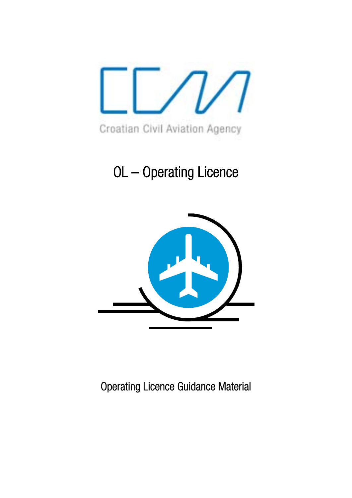

OL – Operating Licence



Operating Licence Guidance Material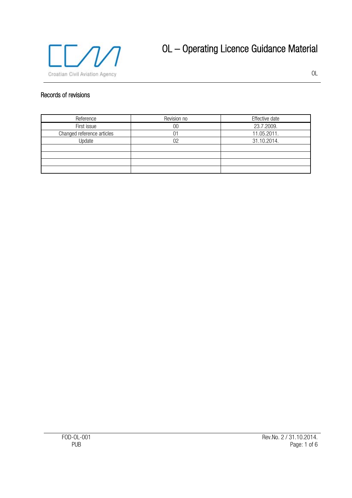

# OL – Operating Licence Guidance Material

OL

#### Records of revisions

| Reference                  | Revision no | Effective date |
|----------------------------|-------------|----------------|
| First issue                | ገ0          | 23.7.2009.     |
| Changed reference articles |             | 11.05.2011.    |
| Update                     | በን          | 31.10.2014.    |
|                            |             |                |
|                            |             |                |
|                            |             |                |
|                            |             |                |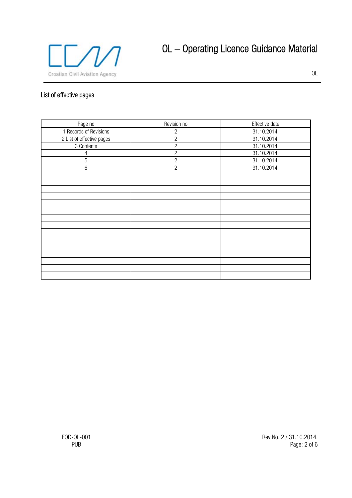

# OL – Operating Licence Guidance Material

OL

#### List of effective pages

| Page no                   | Revision no    | Effective date |
|---------------------------|----------------|----------------|
| 1 Records of Revisions    | $\mathbf{2}$   | 31.10.2014.    |
| 2 List of effective pages | $\overline{2}$ | 31.10.2014.    |
| 3 Contents                | $\mathbf{2}$   | 31.10.2014.    |
| 4                         | $\overline{2}$ | 31.10.2014.    |
| 5                         | $\overline{2}$ | 31.10.2014.    |
| 6                         | $\overline{2}$ | 31.10.2014.    |
|                           |                |                |
|                           |                |                |
|                           |                |                |
|                           |                |                |
|                           |                |                |
|                           |                |                |
|                           |                |                |
|                           |                |                |
|                           |                |                |
|                           |                |                |
|                           |                |                |
|                           |                |                |
|                           |                |                |
|                           |                |                |
|                           |                |                |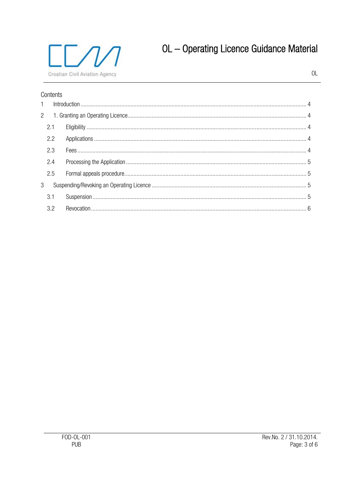

## OL - Operating Licence Guidance Material

#### Contents

|   | $2^{\circ}$ |  |
|---|-------------|--|
|   | 2.1         |  |
|   | 2.2         |  |
|   | 2.3         |  |
|   | 2.4         |  |
|   | 2.5         |  |
| 3 |             |  |
|   | 3.1         |  |
|   | 3.2         |  |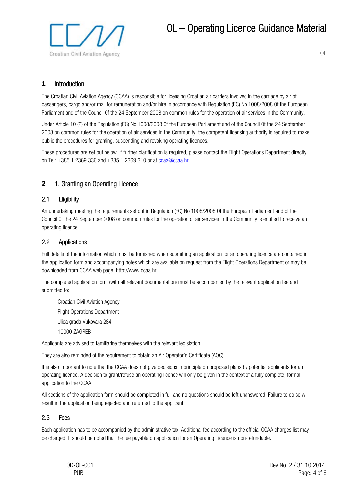

### **1** Introduction

The Croatian Civil Aviation Agency (CCAA) is responsible for licensing Croatian air carriers involved in the carriage by air of passengers, cargo and/or mail for remuneration and/or hire in accordance with Regulation (EC) No 1008/2008 0f the European Parliament and of the Council 0f the 24 September 2008 on common rules for the operation of air services in the Community.

Under Article 10 (2) of the Regulation (EC) No 1008/2008 0f the European Parliament and of the Council 0f the 24 September 2008 on common rules for the operation of air services in the Community, the competent licensing authority is required to make public the procedures for granting, suspending and revoking operating licences.

These procedures are set out below. If further clarification is required, please contact the Flight Operations Department directly on Tel: +385 1 2369 336 and +385 1 2369 310 or at ccaa@ccaa.hr.

### **2** 1. Granting an Operating Licence

#### 2.1 Eligibility

An undertaking meeting the requirements set out in Regulation (EC) No 1008/2008 0f the European Parliament and of the Council 0f the 24 September 2008 on common rules for the operation of air services in the Community is entitled to receive an operating licence.

#### 2.2 Applications

Full details of the information which must be furnished when submitting an application for an operating licence are contained in the application form and accompanying notes which are available on request from the Flight Operations Department or may be downloaded from CCAA web page: http://www.ccaa.hr.

The completed application form (with all relevant documentation) must be accompanied by the relevant application fee and submitted to:

Croatian Civil Aviation Agency Flight Operations Department Ulica grada Vukovara 284 10000 ZAGREB

Applicants are advised to familiarise themselves with the relevant legislation.

They are also reminded of the requirement to obtain an Air Operator's Certificate (AOC).

It is also important to note that the CCAA does not give decisions in principle on proposed plans by potential applicants for an operating licence. A decision to grant/refuse an operating licence will only be given in the context of a fully complete, formal application to the CCAA.

All sections of the application form should be completed in full and no questions should be left unanswered. Failure to do so will result in the application being rejected and returned to the applicant.

#### 2.3 Fees

Each application has to be accompanied by the administrative tax. Additional fee according to the official CCAA charges list may be charged. It should be noted that the fee payable on application for an Operating Licence is non-refundable.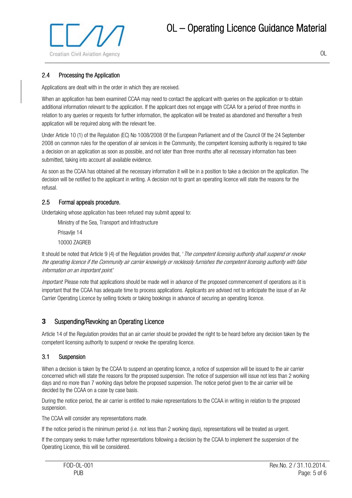

#### OL

#### 2.4 Processing the Application

Applications are dealt with in the order in which they are received.

When an application has been examined CCAA may need to contact the applicant with queries on the application or to obtain additional information relevant to the application. If the applicant does not engage with CCAA for a period of three months in relation to any queries or requests for further information, the application will be treated as abandoned and thereafter a fresh application will be required along with the relevant fee.

Under Article 10 (1) of the Regulation (EC) No 1008/2008 0f the European Parliament and of the Council 0f the 24 September 2008 on common rules for the operation of air services in the Community, the competent licensing authority is required to take a decision on an application as soon as possible, and not later than three months after all necessary information has been submitted, taking into account all available evidence.

As soon as the CCAA has obtained all the necessary information it will be in a position to take a decision on the application. The decision will be notified to the applicant in writing. A decision not to grant an operating licence will state the reasons for the refusal.

#### 2.5 Formal appeals procedure.

Undertaking whose application has been refused may submit appeal to:

Ministry of the Sea, Transport and Infrastructure Prisavlje 14 10000 ZAGREB

It should be noted that Article 9 (4) of the Regulation provides that, 'The competent licensing authority shall suspend or revoke the operating licence if the Community air carrier knowingly or recklessly furnishes the competent licensing authority with false information on an important point.'

*Important*: Please note that applications should be made well in advance of the proposed commencement of operations as it is important that the CCAA has adequate time to process applications. Applicants are advised not to anticipate the issue of an Air Carrier Operating Licence by selling tickets or taking bookings in advance of securing an operating licence.

#### **3** Suspending/Revoking an Operating Licence

Article 14 of the Regulation provides that an air carrier should be provided the right to be heard before any decision taken by the competent licensing authority to suspend or revoke the operating licence.

#### 3.1 Suspension

When a decision is taken by the CCAA to suspend an operating licence, a notice of suspension will be issued to the air carrier concerned which will state the reasons for the proposed suspension. The notice of suspension will issue not less than 2 working days and no more than 7 working days before the proposed suspension. The notice period given to the air carrier will be decided by the CCAA on a case by case basis.

During the notice period, the air carrier is entitled to make representations to the CCAA in writing in relation to the proposed suspension.

The CCAA will consider any representations made.

If the notice period is the minimum period (i.e. not less than 2 working days), representations will be treated as urgent.

If the company seeks to make further representations following a decision by the CCAA to implement the suspension of the Operating Licence, this will be considered.